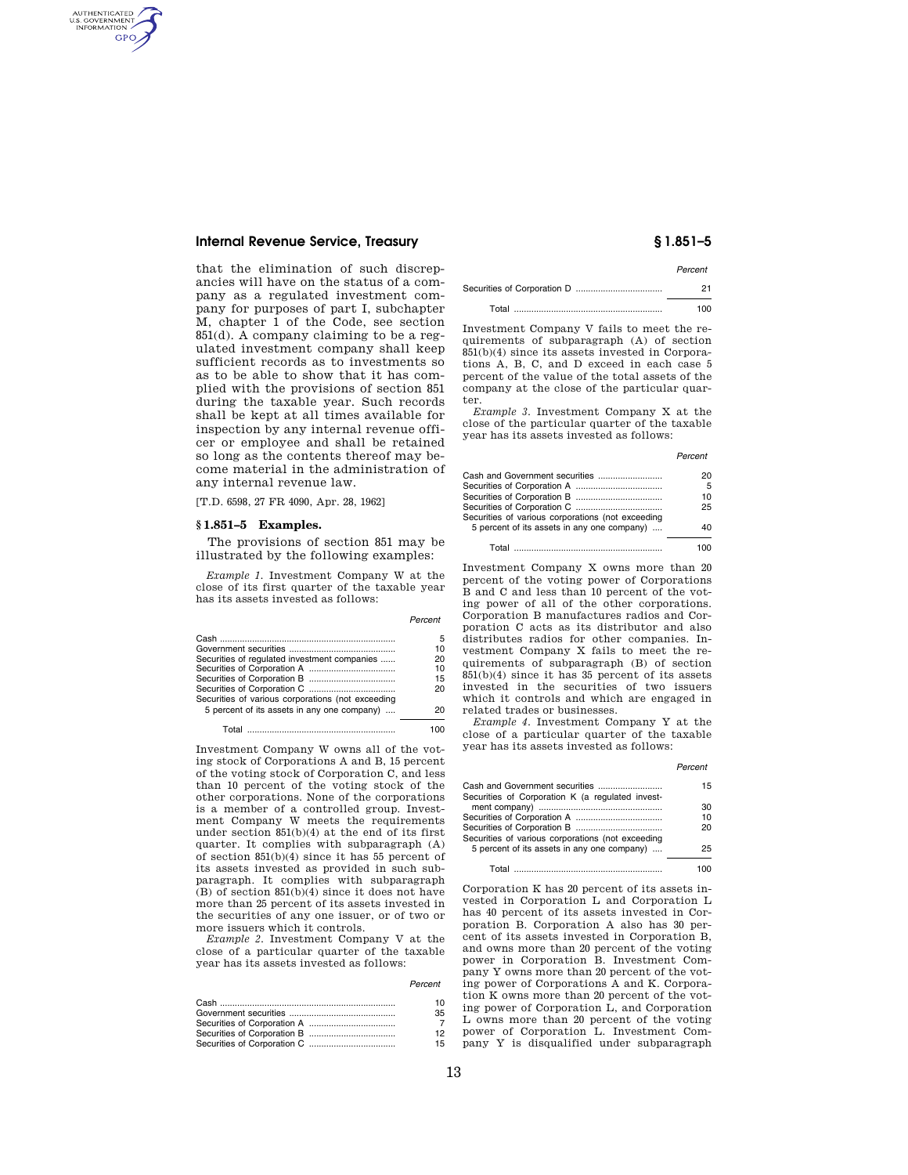# **Internal Revenue Service, Treasury § 1.851–5**

AUTHENTICATED<br>U.S. GOVERNMENT<br>INFORMATION **GPO** 

> that the elimination of such discrepancies will have on the status of a company as a regulated investment company for purposes of part I, subchapter M, chapter 1 of the Code, see section 851(d). A company claiming to be a regulated investment company shall keep sufficient records as to investments so as to be able to show that it has complied with the provisions of section 851 during the taxable year. Such records shall be kept at all times available for inspection by any internal revenue officer or employee and shall be retained so long as the contents thereof may become material in the administration of any internal revenue law.

[T.D. 6598, 27 FR 4090, Apr. 28, 1962]

## **§ 1.851–5 Examples.**

The provisions of section 851 may be illustrated by the following examples:

*Example 1.* Investment Company W at the close of its first quarter of the taxable year has its assets invested as follows:

|                                                   | Percent |
|---------------------------------------------------|---------|
|                                                   | 5       |
|                                                   | 10      |
| Securities of regulated investment companies      | 20      |
|                                                   | 10      |
|                                                   | 15      |
|                                                   | 20      |
| Securities of various corporations (not exceeding |         |
| 5 percent of its assets in any one company)       | 20      |
| Total                                             |         |

Investment Company W owns all of the voting stock of Corporations A and B, 15 percent of the voting stock of Corporation C, and less than 10 percent of the voting stock of the other corporations. None of the corporations is a member of a controlled group. Investment Company W meets the requirements under section 851(b)(4) at the end of its first quarter. It complies with subparagraph (A) of section 851(b)(4) since it has 55 percent of its assets invested as provided in such subparagraph. It complies with subparagraph (B) of section 851(b)(4) since it does not have more than 25 percent of its assets invested in the securities of any one issuer, or of two or more issuers which it controls.

*Example 2.* Investment Company V at the close of a particular quarter of the taxable year has its assets invested as follows:

## *Percent*

| 10 |
|----|
| 35 |
|    |
| 12 |
| 15 |

*Percent* 

| Total | 100. |
|-------|------|

Investment Company V fails to meet the requirements of subparagraph (A) of section 851(b)(4) since its assets invested in Corporations A, B, C, and D exceed in each case 5 percent of the value of the total assets of the company at the close of the particular quarter.

*Example 3.* Investment Company X at the close of the particular quarter of the taxable year has its assets invested as follows:

### *Percent*

| Cash and Government securities                    | 20 |
|---------------------------------------------------|----|
|                                                   | 5  |
|                                                   | 10 |
|                                                   | 25 |
| Securities of various corporations (not exceeding |    |
| 5 percent of its assets in any one company)       | 40 |
|                                                   |    |

Total ............................................................ 100

Investment Company X owns more than 20 percent of the voting power of Corporations B and C and less than 10 percent of the voting power of all of the other corporations. Corporation B manufactures radios and Corporation C acts as its distributor and also distributes radios for other companies. Investment Company X fails to meet the requirements of subparagraph (B) of section 851(b)(4) since it has 35 percent of its assets invested in the securities of two issuers which it controls and which are engaged in related trades or businesses.

*Example 4.* Investment Company Y at the close of a particular quarter of the taxable year has its assets invested as follows:

*Percent* 

| Cash and Government securities<br>15 |
|--------------------------------------|
|                                      |
| 30                                   |
| 10                                   |
| 20                                   |
|                                      |
| 25                                   |
|                                      |
|                                      |
|                                      |

Corporation K has 20 percent of its assets invested in Corporation L and Corporation L has 40 percent of its assets invested in Corporation B. Corporation A also has 30 percent of its assets invested in Corporation B, and owns more than 20 percent of the voting power in Corporation B. Investment Company Y owns more than 20 percent of the voting power of Corporations A and K. Corporation K owns more than 20 percent of the voting power of Corporation L, and Corporation L owns more than 20 percent of the voting power of Corporation L. Investment Company Y is disqualified under subparagraph